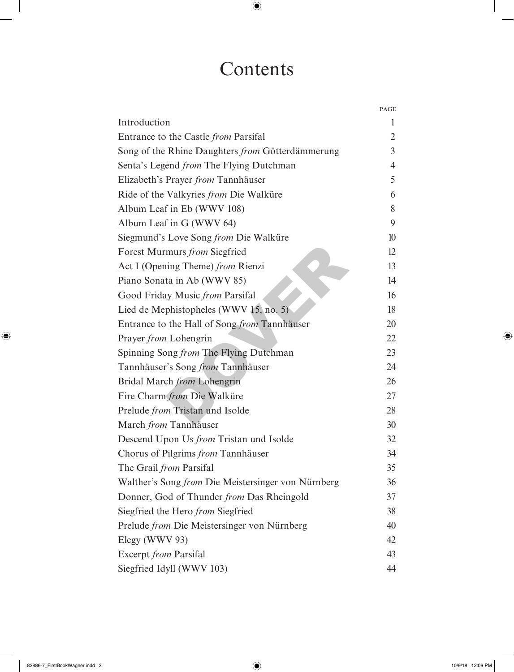## Contents

|                                                    | PAGE           |
|----------------------------------------------------|----------------|
| Introduction                                       | 1              |
| Entrance to the Castle <i>from</i> Parsifal        | $\overline{2}$ |
| Song of the Rhine Daughters from Götterdämmerung   | $\overline{3}$ |
| Senta's Legend <i>from</i> The Flying Dutchman     | $\overline{4}$ |
| Elizabeth's Prayer from Tannhäuser                 | 5              |
| Ride of the Valkyries from Die Walküre             | 6              |
| Album Leaf in Eb (WWV 108)                         | 8              |
| Album Leaf in G (WWV 64)                           | 9              |
| Siegmund's Love Song from Die Walküre              | 10             |
| Forest Murmurs from Siegfried                      | 12             |
| Act I (Opening Theme) from Rienzi                  | 13             |
| Piano Sonata in Ab (WWV 85)                        | 14             |
| Good Friday Music from Parsifal                    | 16             |
| Lied de Mephistopheles (WWV 15, no. 5)             | 18             |
| Entrance to the Hall of Song from Tannhäuser       | 20             |
| Prayer from Lohengrin                              | 22             |
| Spinning Song from The Flying Dutchman             | 23             |
| Tannhäuser's Song from Tannhäuser                  | 24             |
| Bridal March from Lohengrin                        | 26             |
| Fire Charm from Die Walküre                        | 27             |
| Prelude from Tristan und Isolde                    | 28             |
| March from Tannhäuser                              | 30             |
| Descend Upon Us from Tristan und Isolde            | 32             |
| Chorus of Pilgrims from Tannhäuser                 | 34             |
| The Grail from Parsifal                            | 35             |
| Walther's Song from Die Meistersinger von Nürnberg | 36             |
| Donner, God of Thunder from Das Rheingold          | 37             |
| Siegfried the Hero from Siegfried                  | 38             |
| Prelude from Die Meistersinger von Nürnberg        | 40             |
| Elegy (WWV 93)                                     | 42             |
| <b>Excerpt</b> from Parsifal                       | 43             |
| Siegfried Idyll (WWV 103)                          | 44             |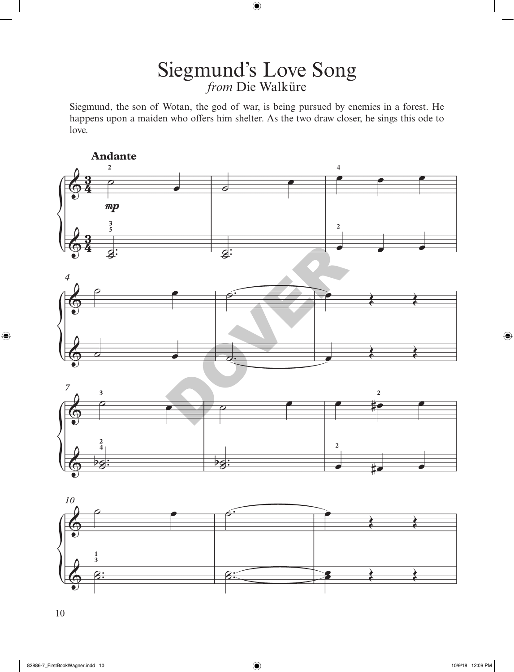## Siegmund's Love Song *from* Die Walküre

Siegmund, the son of Wotan, the god of war, is being pursued by enemies in a forest. He happens upon a maiden who offers him shelter. As the two draw closer, he sings this ode to love.